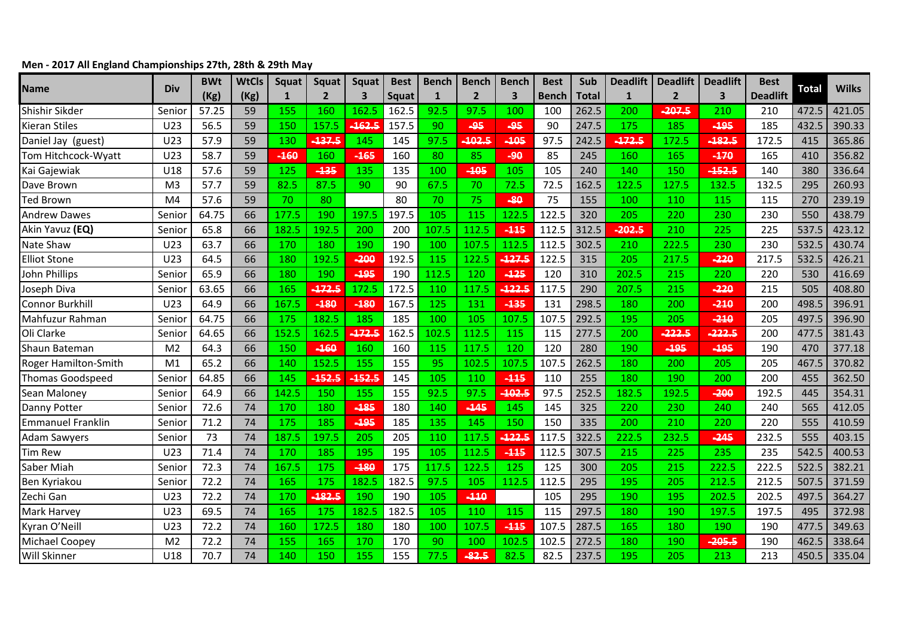## **Men - 2017 All England Championships 27th, 28th & 29th May**

| <b>Name</b>                 | Div            | <b>BWt</b> | <b>WtCls</b> | Squat        | <b>Squat</b>   | Squat                   | <b>Best</b> | <b>Bench</b> | <b>Bench</b>   | <b>Bench</b>  | <b>Best</b>  | Sub          | <b>Deadlift</b> | <b>Deadlift</b> | <b>Deadlift</b>         | <b>Best</b>     | <b>Total</b> | <b>Wilks</b> |
|-----------------------------|----------------|------------|--------------|--------------|----------------|-------------------------|-------------|--------------|----------------|---------------|--------------|--------------|-----------------|-----------------|-------------------------|-----------------|--------------|--------------|
|                             |                | (Kg)       | (Kg)         | $\mathbf{1}$ | $\overline{2}$ | $\overline{\mathbf{3}}$ | Squat       | $\mathbf{1}$ | $\overline{2}$ | 3             | <b>Bench</b> | <b>Total</b> | $\mathbf{1}$    | $\overline{2}$  | $\overline{\mathbf{3}}$ | <b>Deadlift</b> |              |              |
| Shishir Sikder              | Senior         | 57.25      | 59           | 155          | 160            | 162.5                   | 162.5       | 92.5         | 97.5           | 100           | 100          | 262.5        | 200             | $-207.5$        | 210                     | 210             | 472.5        | 421.05       |
| <b>Kieran Stiles</b>        | U23            | 56.5       | 59           | 150          | 157.5          | $-162.5$                | 157.5       | 90           | $-95$          | $-95$         | 90           | 247.5        | 175             | 185             | <b>195</b>              | 185             | 432.5        | 390.33       |
| Daniel Jay (guest)          | U23            | 57.9       | 59           | 130          | 137.5          | 145                     | 145         | 97.5         | 102.5          | $-105$        | 97.5         | 242.5        | $-172.5$        | 172.5           | <b>182.5</b>            | 172.5           | 415          | 365.86       |
| Tom Hitchcock-Wyatt         | U23            | 58.7       | 59           | $-160$       | 160            | $-165$                  | 160         | 80           | 85             | -90           | 85           | 245          | 160             | 165             | -170                    | 165             | 410          | 356.82       |
| Kai Gajewiak                | U18            | 57.6       | 59           | 125          | -135           | 135                     | 135         | 100          | $-105$         | 105           | 105          | 240          | 140             | 150             | $-152.5$                | 140             | 380          | 336.64       |
| Dave Brown                  | M <sub>3</sub> | 57.7       | 59           | 82.5         | 87.5           | 90                      | 90          | 67.5         | 70             | 72.5          | 72.5         | 162.5        | 122.5           | 127.5           | 132.5                   | 132.5           | 295          | 260.93       |
| <b>Ted Brown</b>            | M <sub>4</sub> | 57.6       | 59           | 70           | 80             |                         | 80          | 70           | 75             | $-80$         | 75           | 155          | 100             | 110             | 115                     | 115             | 270          | 239.19       |
| <b>Andrew Dawes</b>         | Senior         | 64.75      | 66           | 177.5        | 190            | 197.5                   | 197.5       | 105          | 115            | 122.5         | 122.5        | 320          | 205             | 220             | 230                     | 230             | 550          | 438.79       |
| Akin Yavuz (EQ)             | Senior         | 65.8       | 66           | 182.5        | 192.5          | 200                     | 200         | 107.5        | 112.5          | $-115$        | 112.5        | 312.5        | $-202.5$        | 210             | 225                     | 225             | 537.5        | 423.12       |
| Nate Shaw                   | U23            | 63.7       | 66           | 170          | 180            | 190                     | 190         | 100          | 107.5          | 112.5         | 112.5        | 302.5        | 210             | 222.5           | 230                     | 230             | 532.5        | 430.74       |
| <b>Elliot Stone</b>         | U23            | 64.5       | 66           | 180          | 192.5          | $-200$                  | 192.5       | 115          | 122.5          | $-127.5$      | 122.5        | 315          | 205             | 217.5           | $-220$                  | 217.5           | 532.5        | 426.21       |
| <b>John Phillips</b>        | Senior         | 65.9       | 66           | 180          | 190            | -195                    | 190         | 112.5        | 120            | $-125$        | 120          | 310          | 202.5           | 215             | 220                     | 220             | 530          | 416.69       |
| Joseph Diva                 | Senior         | 63.65      | 66           | 165          | $-172.5$       | 172.5                   | 172.5       | 110          | 117.5          | $-122.5$      | 117.5        | 290          | 207.5           | 215             | $-220$                  | 215             | 505          | 408.80       |
| <b>Connor Burkhill</b>      | U23            | 64.9       | 66           | 167.5        | -180           | $-180$                  | 167.5       | 125          | 131            | -135          | 131          | 298.5        | 180             | 200             | $-210$                  | 200             | 498.5        | 396.91       |
| Mahfuzur Rahman             | Senior         | 64.75      | 66           | 175          | 182.5          | 185                     | 185         | 100          | 105            | 107.5         | 107.5        | 292.5        | 195             | 205             | $-210$                  | 205             | 497.5        | 396.90       |
| Oli Clarke                  | Senior         | 64.65      | 66           | 152.5        | 162.5          | $-172.5$                | 162.5       | 102.5        | 112.5          | 115           | 115          | 277.5        | 200             | -222.5          | $-222.5$                | 200             | 477.5        | 381.43       |
| Shaun Bateman               | M <sub>2</sub> | 64.3       | 66           | 150          | -160           | 160                     | 160         | 115          | 117.5          | 120           | 120          | 280          | 190             | -195            | $-195$                  | 190             | 470          | 377.18       |
| <b>Roger Hamilton-Smith</b> | M <sub>1</sub> | 65.2       | 66           | 140          | 152.5          | 155                     | 155         | 95           | 102.5          | 107.5         | 107.5        | 262.5        | 180             | 200             | 205                     | 205             | 467.5        | 370.82       |
| <b>Thomas Goodspeed</b>     | Senior         | 64.85      | 66           | 145          | $-152.5$       | $-152.5$                | 145         | 105          | 110            | $-115$        | 110          | 255          | 180             | 190             | 200                     | 200             | 455          | 362.50       |
| Sean Maloney                | Senior         | 64.9       | 66           | 142.5        | 150            | 155                     | 155         | 92.5         | 97.5           | $-102.5$      | 97.5         | 252.5        | 182.5           | 192.5           | -200                    | 192.5           | 445          | 354.31       |
| Danny Potter                | Senior         | 72.6       | 74           | 170          | 180            | -185                    | 180         | 140          | $-145$         | 145           | 145          | 325          | 220             | 230             | 240                     | 240             | 565          | 412.05       |
| <b>Emmanuel Franklin</b>    | Senior         | 71.2       | 74           | 175          | 185            | -195                    | 185         | 135          | 145            | 150           | 150          | 335          | 200             | 210             | 220                     | 220             | 555          | 410.59       |
| <b>Adam Sawyers</b>         | Senior         | 73         | 74           | 187.5        | 197.5          | 205                     | 205         | 110          | 117.5          | <u> 122.5</u> | 117.5        | 322.5        | 222.5           | 232.5           | $-245$                  | 232.5           | 555          | 403.15       |
| <b>Tim Rew</b>              | U23            | 71.4       | 74           | 170          | 185            | 195                     | 195         | 105          | 112.5          | $-115$        | 112.5        | 307.5        | 215             | 225             | 235                     | 235             | 542.5        | 400.53       |
| Saber Miah                  | Senior         | 72.3       | 74           | 167.5        | 175            | $-180$                  | 175         | 117.5        | 122.5          | 125           | 125          | 300          | 205             | 215             | 222.5                   | 222.5           | 522.5        | 382.21       |
| Ben Kyriakou                | Senior         | 72.2       | 74           | 165          | 175            | 182.5                   | 182.5       | 97.5         | 105            | 112.5         | 112.5        | 295          | 195             | 205             | 212.5                   | 212.5           | 507.5        | 371.59       |
| Zechi Gan                   | U23            | 72.2       | 74           | 170          | 182.5          | 190                     | 190         | 105          | $-110$         |               | 105          | 295          | 190             | 195             | 202.5                   | 202.5           | 497.5        | 364.27       |
| <b>Mark Harvey</b>          | U23            | 69.5       | 74           | 165          | 175            | 182.5                   | 182.5       | 105          | 110            | 115           | 115          | 297.5        | 180             | 190             | 197.5                   | 197.5           | 495          | 372.98       |
| Kyran O'Neill               | U23            | 72.2       | 74           | 160          | 172.5          | 180                     | 180         | 100          | 107.5          | $-115$        | 107.5        | 287.5        | 165             | 180             | 190                     | 190             | 477.5        | 349.63       |
| Michael Coopey              | M <sub>2</sub> | 72.2       | 74           | 155          | 165            | 170                     | 170         | 90           | 100            | 102.5         | 102.5        | 272.5        | 180             | 190             | -205.5                  | 190             | 462.5        | 338.64       |
| <b>Will Skinner</b>         | U18            | 70.7       | 74           | 140          | 150            | 155                     | 155         | 77.5         | $-82.5$        | 82.5          | 82.5         | 237.5        | 195             | 205             | 213                     | 213             | 450.5        | 335.04       |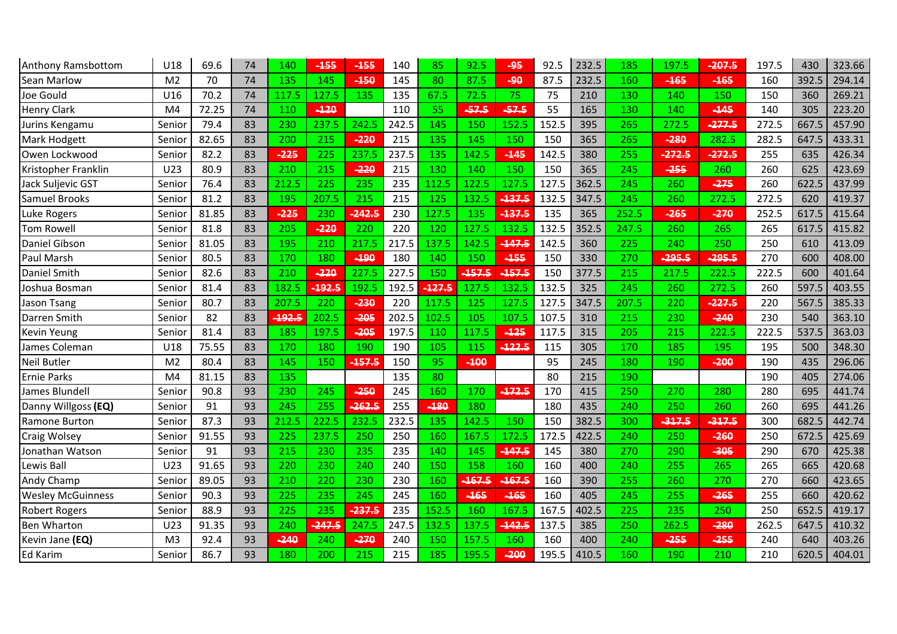| Anthony Ramsbottom       | U18            | 69.6  | 74 | 140    | -155     | -155     | 140   | 85       | 92.5     | -95      | 92.5  | 232.5 | 185   | 197.5    | -207.5   | 197.5 | 430   | 323.66 |
|--------------------------|----------------|-------|----|--------|----------|----------|-------|----------|----------|----------|-------|-------|-------|----------|----------|-------|-------|--------|
| Sean Marlow              | M <sub>2</sub> | 70    | 74 | 135    | 145      | $-150$   | 145   | 80       | 87.5     | -90      | 87.5  | 232.5 | 160   | $-165$   | $-165$   | 160   | 392.5 | 294.14 |
| Joe Gould                | U16            | 70.2  | 74 | 117.5  | 127.5    | 135      | 135   | 67.5     | 72.5     | 75       | 75    | 210   | 130   | 140      | 150      | 150   | 360   | 269.21 |
| <b>Henry Clark</b>       | M <sub>4</sub> | 72.25 | 74 | 110    | $-120$   |          | 110   | 55       | $-57.5$  | $-57.5$  | 55    | 165   | 130   | 140      | $-145$   | 140   | 305   | 223.20 |
| Jurins Kengamu           | Senior         | 79.4  | 83 | 230    | 237.5    | 242.5    | 242.5 | 145      | 150      | 152.5    | 152.5 | 395   | 265   | 272.5    | $-277.5$ | 272.5 | 667.5 | 457.90 |
| Mark Hodgett             | Senior         | 82.65 | 83 | 200    | 215      | $-220$   | 215   | 135      | 145      | 150      | 150   | 365   | 265   | $-280$   | 282.5    | 282.5 | 647.5 | 433.31 |
| Owen Lockwood            | Senior         | 82.2  | 83 | $-225$ | 225      | 237.5    | 237.5 | 135      | 142.5    | $-145$   | 142.5 | 380   | 255   | $-272.5$ | $-272.5$ | 255   | 635   | 426.34 |
| Kristopher Franklin      | U23            | 80.9  | 83 | 210    | 215      | $-220$   | 215   | 130      | 140      | 150      | 150   | 365   | 245   | $-255$   | 260      | 260   | 625   | 423.69 |
| Jack Suljevic GST        | Senior         | 76.4  | 83 | 212.5  | 225      | 235      | 235   | 112.5    | 122.5    | 127.5    | 127.5 | 362.5 | 245   | 260      | $-275$   | 260   | 622.5 | 437.99 |
| <b>Samuel Brooks</b>     | Senior         | 81.2  | 83 | 195    | 207.5    | 215      | 215   | 125      | 132.5    | -137.5   | 132.5 | 347.5 | 245   | 260      | 272.5    | 272.5 | 620   | 419.37 |
| Luke Rogers              | Senior         | 81.85 | 83 | $-225$ | 230      | $-242.5$ | 230   | 127.5    | 135      | -137.5   | 135   | 365   | 252.5 | $-265$   | $-270$   | 252.5 | 617.5 | 415.64 |
| Tom Rowell               | Senior         | 81.8  | 83 | 205    | $-220$   | 220      | 220   | 120      | 127.5    | 132.5    | 132.5 | 352.5 | 247.5 | 260      | 265      | 265   | 617.5 | 415.82 |
| Daniel Gibson            | Senior         | 81.05 | 83 | 195    | 210      | 217.5    | 217.5 | 137.5    | 142.5    | $-147.5$ | 142.5 | 360   | 225   | 240      | 250      | 250   | 610   | 413.09 |
| Paul Marsh               | Senior         | 80.5  | 83 | 170    | 180      | -190     | 180   | 140      | 150      | $-155$   | 150   | 330   | 270   | -295.5   | $-295.5$ | 270   | 600   | 408.00 |
| Daniel Smith             | Senior         | 82.6  | 83 | 210    | $-220$   | 227.5    | 227.5 | 150      | 157.5    | 157.5    | 150   | 377.5 | 215   | 217.5    | 222.5    | 222.5 | 600   | 401.64 |
| Joshua Bosman            | Senior         | 81.4  | 83 | 182.5  | 192.5    | 192.5    | 192.5 | $-127.5$ | 127.5    | 132.5    | 132.5 | 325   | 245   | 260      | 272.5    | 260   | 597.5 | 403.55 |
| Jason Tsang              | Senior         | 80.7  | 83 | 207.5  | 220      | $-230$   | 220   | 117.5    | 125      | 127.5    | 127.5 | 347.5 | 207.5 | 220      | $-227.5$ | 220   | 567.5 | 385.33 |
| Darren Smith             | Senior         | 82    | 83 | 192.5  | 202.5    | -205     | 202.5 | 102.5    | 105      | 107.5    | 107.5 | 310   | 215   | 230      | $-240$   | 230   | 540   | 363.10 |
| Kevin Yeung              | Senior         | 81.4  | 83 | 185    | 197.5    | $-205$   | 197.5 | 110      | 117.5    | $-125$   | 117.5 | 315   | 205   | 215      | 222.5    | 222.5 | 537.5 | 363.03 |
| James Coleman            | U18            | 75.55 | 83 | 170    | 180      | 190      | 190   | 105      | 115      | $-122.5$ | 115   | 305   | 170   | 185      | 195      | 195   | 500   | 348.30 |
| Neil Butler              | M <sub>2</sub> | 80.4  | 83 | 145    | 150      | $-157.5$ | 150   | 95       | -100     |          | 95    | 245   | 180   | 190      | $-200$   | 190   | 435   | 296.06 |
| <b>Ernie Parks</b>       | M <sub>4</sub> | 81.15 | 83 | 135    |          |          | 135   | 80       |          |          | 80    | 215   | 190   |          |          | 190   | 405   | 274.06 |
| James Blundell           | Senior         | 90.8  | 93 | 230    | 245      | $-250$   | 245   | 160      | 170      | $-172.5$ | 170   | 415   | 250   | 270      | 280      | 280   | 695   | 441.74 |
| Danny Willgoss (EQ)      | Senior         | 91    | 93 | 245    | 255      | $-262.5$ | 255   | $-180$   | 180      |          | 180   | 435   | 240   | 250      | 260      | 260   | 695   | 441.26 |
| Ramone Burton            | Senior         | 87.3  | 93 | 212.5  | 222.5    | 232.5    | 232.5 | 135      | 142.5    | 150      | 150   | 382.5 | 300   | $-317.5$ | $-317.5$ | 300   | 682.5 | 442.74 |
| Craig Wolsey             | Senior         | 91.55 | 93 | 225    | 237.5    | 250      | 250   | 160      | 167.5    | 172.5    | 172.5 | 422.5 | 240   | 250      | $-260$   | 250   | 672.5 | 425.69 |
| Jonathan Watson          | Senior         | 91    | 93 | 215    | 230      | 235      | 235   | 140      | 145      | $-147.5$ | 145   | 380   | 270   | 290      | -305     | 290   | 670   | 425.38 |
| Lewis Ball               | U23            | 91.65 | 93 | 220    | 230      | 240      | 240   | 150      | 158      | 160      | 160   | 400   | 240   | 255      | 265      | 265   | 665   | 420.68 |
| Andy Champ               | Senior         | 89.05 | 93 | 210    | 220      | 230      | 230   | 160      | $-167.5$ | $-167.5$ | 160   | 390   | 255   | 260      | 270      | 270   | 660   | 423.65 |
| <b>Wesley McGuinness</b> | Senior         | 90.3  | 93 | 225    | 235      | 245      | 245   | 160      | $-165$   | $-165$   | 160   | 405   | 245   | 255      | $-265$   | 255   | 660   | 420.62 |
| <b>Robert Rogers</b>     | Senior         | 88.9  | 93 | 225    | 235      | 237.5    | 235   | 152.5    | 160      | 167.5    | 167.5 | 402.5 | 225   | 235      | 250      | 250   | 652.5 | 419.17 |
| <b>Ben Wharton</b>       | U23            | 91.35 | 93 | 240    | $-247.5$ | 247.5    | 247.5 | 132.5    | 137.5    | $-142.5$ | 137.5 | 385   | 250   | 262.5    | $-280$   | 262.5 | 647.5 | 410.32 |
| Kevin Jane (EQ)          | M <sub>3</sub> | 92.4  | 93 | $-240$ | 240      | $-270$   | 240   | 150      | 157.5    | 160      | 160   | 400   | 240   | $-255$   | $-255$   | 240   | 640   | 403.26 |
| <b>Ed Karim</b>          | Senior         | 86.7  | 93 | 180    | 200      | 215      | 215   | 185      | 195.5    | $-200$   | 195.5 | 410.5 | 160   | 190      | 210      | 210   | 620.5 | 404.01 |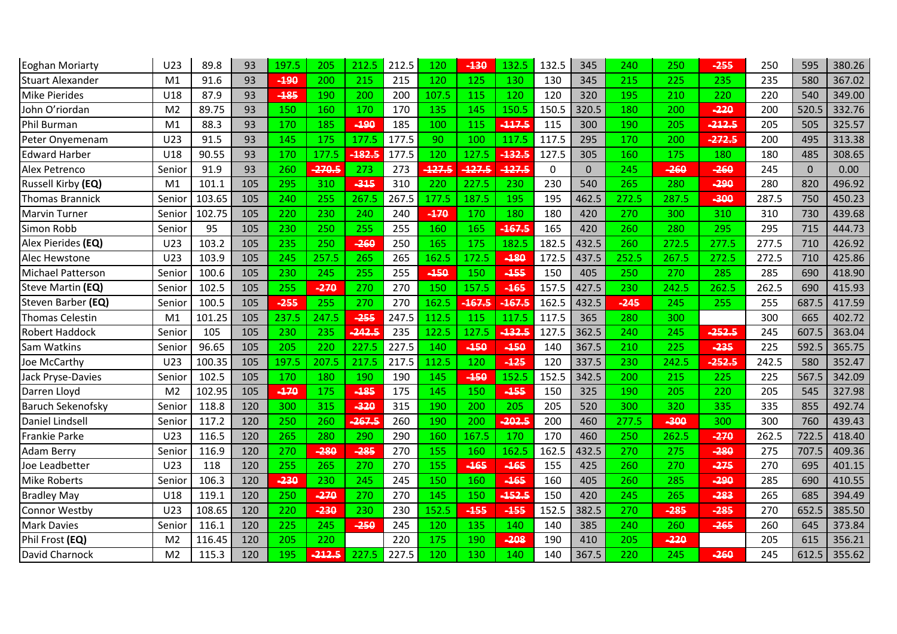| <b>Eoghan Moriarty</b>   | U23            | 89.8   | 93  | 197.5  | 205    | 212.5    | 212.5 | 120      | -130     | 132.5    | 132.5 | 345            | 240    | 250    | -255     | 250   | 595      | 380.26 |
|--------------------------|----------------|--------|-----|--------|--------|----------|-------|----------|----------|----------|-------|----------------|--------|--------|----------|-------|----------|--------|
| <b>Stuart Alexander</b>  | M <sub>1</sub> | 91.6   | 93  | -190   | 200    | 215      | 215   | 120      | 125      | 130      | 130   | 345            | 215    | 225    | 235      | 235   | 580      | 367.02 |
| <b>Mike Pierides</b>     | U18            | 87.9   | 93  | -185   | 190    | 200      | 200   | 107.5    | 115      | 120      | 120   | 320            | 195    | 210    | 220      | 220   | 540      | 349.00 |
| John O'riordan           | M <sub>2</sub> | 89.75  | 93  | 150    | 160    | 170      | 170   | 135      | 145      | 150.5    | 150.5 | 320.5          | 180    | 200    | $-220$   | 200   | 520.5    | 332.76 |
| Phil Burman              | M <sub>1</sub> | 88.3   | 93  | 170    | 185    | $-190$   | 185   | 100      | 115      | $-117.5$ | 115   | 300            | 190    | 205    | $-212.5$ | 205   | 505      | 325.57 |
| Peter Onyemenam          | U23            | 91.5   | 93  | 145    | 175    | 177.5    | 177.5 | 90       | 100      | 117.5    | 117.5 | 295            | 170    | 200    | $-272.5$ | 200   | 495      | 313.38 |
| <b>Edward Harber</b>     | U18            | 90.55  | 93  | 170    | 177.5  | 182.5    | 177.5 | 120      | 127.5    | 132.5    | 127.5 | 305            | 160    | 175    | 180      | 180   | 485      | 308.65 |
| Alex Petrenco            | Senior         | 91.9   | 93  | 260    | 270.5  | 273      | 273   | $-127.5$ | $-127.5$ | 127.5    | 0     | $\overline{0}$ | 245    | $-260$ | $-260$   | 245   | $\Omega$ | 0.00   |
| Russell Kirby (EQ)       | M <sub>1</sub> | 101.1  | 105 | 295    | 310    | $-3.15$  | 310   | 220      | 227.5    | 230      | 230   | 540            | 265    | 280    | -290     | 280   | 820      | 496.92 |
| <b>Thomas Brannick</b>   | Senior         | 103.65 | 105 | 240    | 255    | 267.5    | 267.5 | 177.5    | 187.5    | 195      | 195   | 462.5          | 272.5  | 287.5  | $-300$   | 287.5 | 750      | 450.23 |
| <b>Marvin Turner</b>     | Senior         | 102.75 | 105 | 220    | 230    | 240      | 240   | -170     | 170      | 180      | 180   | 420            | 270    | 300    | 310      | 310   | 730      | 439.68 |
| Simon Robb               | Senior         | 95     | 105 | 230    | 250    | 255      | 255   | 160      | 165      | $-167.5$ | 165   | 420            | 260    | 280    | 295      | 295   | 715      | 444.73 |
| Alex Pierides (EQ)       | U23            | 103.2  | 105 | 235    | 250    | $-260$   | 250   | 165      | 175      | 182.5    | 182.5 | 432.5          | 260    | 272.5  | 277.5    | 277.5 | 710      | 426.92 |
| Alec Hewstone            | U23            | 103.9  | 105 | 245    | 257.5  | 265      | 265   | 162.5    | 172.5    | -180     | 172.5 | 437.5          | 252.5  | 267.5  | 272.5    | 272.5 | 710      | 425.86 |
| <b>Michael Patterson</b> | Senior         | 100.6  | 105 | 230    | 245    | 255      | 255   | $-150$   | 150      | $-155$   | 150   | 405            | 250    | 270    | 285      | 285   | 690      | 418.90 |
| Steve Martin (EQ)        | Senior         | 102.5  | 105 | 255    | $-270$ | 270      | 270   | 150      | 157.5    | $-165$   | 157.5 | 427.5          | 230    | 242.5  | 262.5    | 262.5 | 690      | 415.93 |
| Steven Barber (EQ)       | Senior         | 100.5  | 105 | $-255$ | 255    | 270      | 270   | 162.5    | $-167.5$ | $-167.5$ | 162.5 | 432.5          | $-245$ | 245    | 255      | 255   | 687.5    | 417.59 |
| Thomas Celestin          | M <sub>1</sub> | 101.25 | 105 | 237.5  | 247.5  | $-255$   | 247.5 | 112.5    | 115      | 117.5    | 117.5 | 365            | 280    | 300    |          | 300   | 665      | 402.72 |
| <b>Robert Haddock</b>    | Senior         | 105    | 105 | 230    | 235    | $-242.5$ | 235   | 122.5    | 127.5    | $-132.5$ | 127.5 | 362.5          | 240    | 245    | $-252.5$ | 245   | 607.5    | 363.04 |
| Sam Watkins              | Senior         | 96.65  | 105 | 205    | 220    | 227.5    | 227.5 | 140      | -150     | -150     | 140   | 367.5          | 210    | 225    | $-235$   | 225   | 592.5    | 365.75 |
| Joe McCarthy             | U23            | 100.35 | 105 | 197.5  | 207.5  | 217.5    | 217.5 | 112.5    | 120      | $-125$   | 120   | 337.5          | 230    | 242.5  | $-252.5$ | 242.5 | 580      | 352.47 |
| Jack Pryse-Davies        | Senior         | 102.5  | 105 | 170    | 180    | 190      | 190   | 145      | $-150$   | 152.5    | 152.5 | 342.5          | 200    | 215    | 225      | 225   | 567.5    | 342.09 |
| Darren Lloyd             | M <sub>2</sub> | 102.95 | 105 | $-170$ | 175    | 485      | 175   | 145      | 150      | 455      | 150   | 325            | 190    | 205    | 220      | 205   | 545      | 327.98 |
| <b>Baruch Sekenofsky</b> | Senior         | 118.8  | 120 | 300    | 315    | -320     | 315   | 190      | 200      | 205      | 205   | 520            | 300    | 320    | 335      | 335   | 855      | 492.74 |
| Daniel Lindsell          | Senior         | 117.2  | 120 | 250    | 260    | $-267.5$ | 260   | 190      | 200      | $-202.5$ | 200   | 460            | 277.5  | $-300$ | 300      | 300   | 760      | 439.43 |
| Frankie Parke            | U23            | 116.5  | 120 | 265    | 280    | 290      | 290   | 160      | 167.5    | 170      | 170   | 460            | 250    | 262.5  | -270     | 262.5 | 722.5    | 418.40 |
| <b>Adam Berry</b>        | Senior         | 116.9  | 120 | 270    | -280   | -285     | 270   | 155      | 160      | 162.5    | 162.5 | 432.5          | 270    | 275    | -280     | 275   | 707.5    | 409.36 |
| Joe Leadbetter           | U23            | 118    | 120 | 255    | 265    | 270      | 270   | 155      | $-165$   | $-165$   | 155   | 425            | 260    | 270    | $-275$   | 270   | 695      | 401.15 |
| <b>Mike Roberts</b>      | Senior         | 106.3  | 120 | -230   | 230    | 245      | 245   | 150      | 160      | -165     | 160   | 405            | 260    | 285    | $-290$   | 285   | 690      | 410.55 |
| <b>Bradley May</b>       | U18            | 119.1  | 120 | 250    | $-270$ | 270      | 270   | 145      | 150      | $-152.5$ | 150   | 420            | 245    | 265    | $-283$   | 265   | 685      | 394.49 |
| Connor Westby            | U23            | 108.65 | 120 | 220    | $-230$ | 230      | 230   | 152.5    | 455      | $-155$   | 152.5 | 382.5          | 270    | $-285$ | $-285$   | 270   | 652.5    | 385.50 |
| <b>Mark Davies</b>       | Senior         | 116.1  | 120 | 225    | 245    | $-250$   | 245   | 120      | 135      | 140      | 140   | 385            | 240    | 260    | $-265$   | 260   | 645      | 373.84 |
| Phil Frost (EQ)          | M <sub>2</sub> | 116.45 | 120 | 205    | 220    |          | 220   | 175      | 190      | $-208$   | 190   | 410            | 205    | $-220$ |          | 205   | 615      | 356.21 |
| David Charnock           | M <sub>2</sub> | 115.3  | 120 | 195    | -212.5 | 227.5    | 227.5 | 120      | 130      | 140      | 140   | 367.5          | 220    | 245    | $-260$   | 245   | 612.5    | 355.62 |